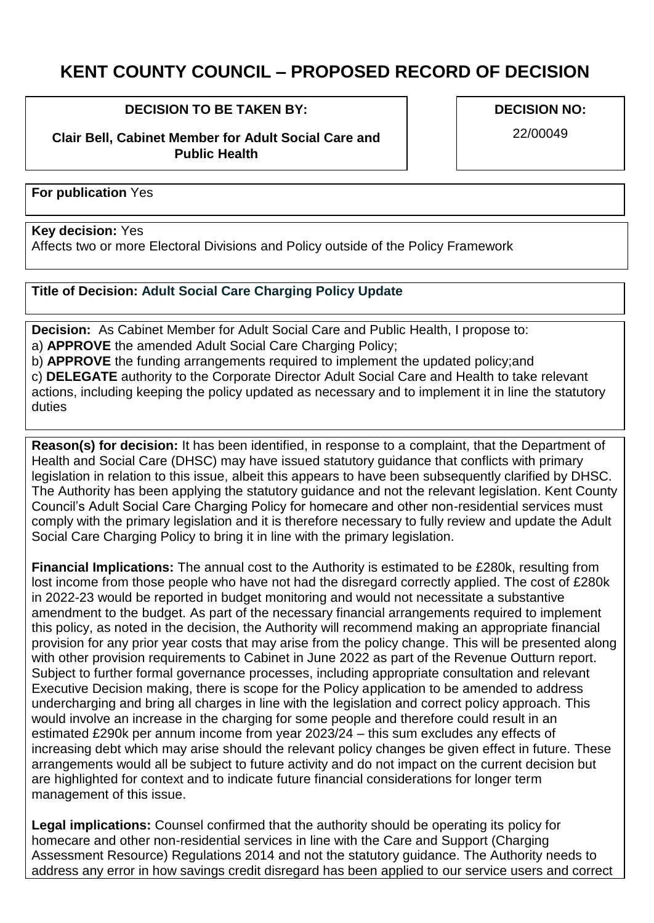## **KENT COUNTY COUNCIL – PROPOSED RECORD OF DECISION**

## **DECISION TO BE TAKEN BY:**

**Clair Bell, Cabinet Member for Adult Social Care and Public Health**

**DECISION NO:**

22/00049

**For publication** Yes

## **Key decision:** Yes

Affects two or more Electoral Divisions and Policy outside of the Policy Framework

## **Title of Decision: Adult Social Care Charging Policy Update**

**Decision:** As Cabinet Member for Adult Social Care and Public Health, I propose to: a) **APPROVE** the amended Adult Social Care Charging Policy;

b) **APPROVE** the funding arrangements required to implement the updated policy;and

c) **DELEGATE** authority to the Corporate Director Adult Social Care and Health to take relevant actions, including keeping the policy updated as necessary and to implement it in line the statutory duties

**Reason(s) for decision:** It has been identified, in response to a complaint, that the Department of Health and Social Care (DHSC) may have issued statutory guidance that conflicts with primary legislation in relation to this issue, albeit this appears to have been subsequently clarified by DHSC. The Authority has been applying the statutory guidance and not the relevant legislation. Kent County Council's Adult Social Care Charging Policy for homecare and other non-residential services must comply with the primary legislation and it is therefore necessary to fully review and update the Adult Social Care Charging Policy to bring it in line with the primary legislation.

**Financial Implications:** The annual cost to the Authority is estimated to be £280k, resulting from lost income from those people who have not had the disregard correctly applied. The cost of £280k in 2022-23 would be reported in budget monitoring and would not necessitate a substantive amendment to the budget. As part of the necessary financial arrangements required to implement this policy, as noted in the decision, the Authority will recommend making an appropriate financial provision for any prior year costs that may arise from the policy change. This will be presented along with other provision requirements to Cabinet in June 2022 as part of the Revenue Outturn report. Subject to further formal governance processes, including appropriate consultation and relevant Executive Decision making, there is scope for the Policy application to be amended to address undercharging and bring all charges in line with the legislation and correct policy approach. This would involve an increase in the charging for some people and therefore could result in an estimated £290k per annum income from year 2023/24 – this sum excludes any effects of increasing debt which may arise should the relevant policy changes be given effect in future. These arrangements would all be subject to future activity and do not impact on the current decision but are highlighted for context and to indicate future financial considerations for longer term management of this issue.

**Legal implications:** Counsel confirmed that the authority should be operating its policy for homecare and other non-residential services in line with the Care and Support (Charging Assessment Resource) Regulations 2014 and not the statutory guidance. The Authority needs to address any error in how savings credit disregard has been applied to our service users and correct